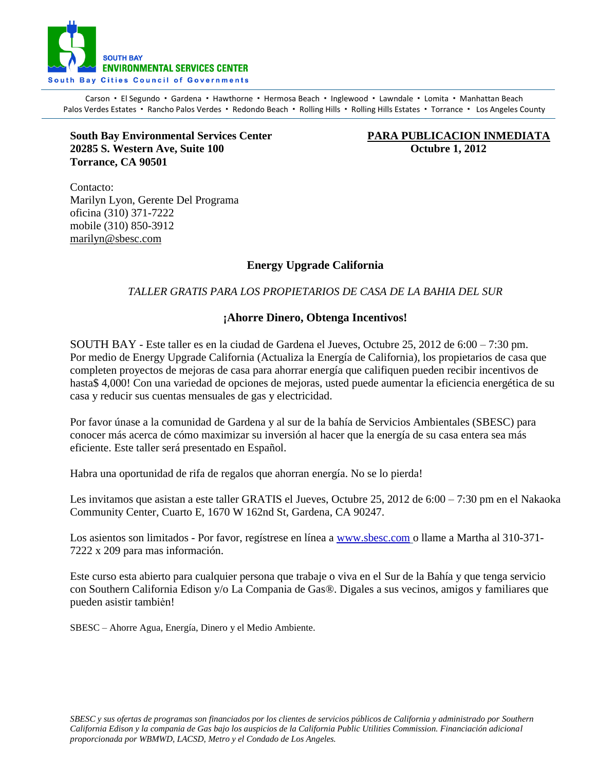

Carson · El Segundo · Gardena · Hawthorne · Hermosa Beach · Inglewood · Lawndale · Lomita · Manhattan Beach Palos Verdes Estates · Rancho Palos Verdes · Redondo Beach · Rolling Hills · Rolling Hills Estates · Torrance · Los Angeles County

**South Bay Environmental Services Center PARA PUBLICACION INMEDIATA 20285 S. Western Ave, Suite 100 Octubre 1, 2012 Torrance, CA 90501**

Contacto: Marilyn Lyon, Gerente Del Programa oficina (310) 371-7222 mobile (310) 850-3912 [marilyn@sbesc.com](mailto:marilyn@sbesc.com)

# **Energy Upgrade California**

## *TALLER GRATIS PARA LOS PROPIETARIOS DE CASA DE LA BAHIA DEL SUR*

### **¡Ahorre Dinero, Obtenga Incentivos!**

SOUTH BAY - Este taller es en la ciudad de Gardena el Jueves, Octubre 25, 2012 de 6:00 – 7:30 pm. Por medio de Energy Upgrade California (Actualiza la Energía de California), los propietarios de casa que completen proyectos de mejoras de casa para ahorrar energía que califiquen pueden recibir incentivos de hasta\$ 4,000! Con una variedad de opciones de mejoras, usted puede aumentar la eficiencia energética de su casa y reducir sus cuentas mensuales de gas y electricidad.

Por favor únase a la comunidad de Gardena y al sur de la bahía de Servicios Ambientales (SBESC) para conocer más acerca de cómo maximizar su inversión al hacer que la energía de su casa entera sea más eficiente. Este taller será presentado en Español.

Habra una oportunidad de rifa de regalos que ahorran energía. No se lo pierda!

Les invitamos que asistan a este taller GRATIS el Jueves, Octubre 25, 2012 de 6:00 – 7:30 pm en el Nakaoka Community Center, Cuarto E, 1670 W 162nd St, Gardena, CA 90247.

Los asientos son limitados - Por favor, regístrese en línea a [www.sbesc.com](http://www.sbesc.com/) o llame a Martha al 310-371-7222 x 209 para mas información.

Este curso esta abierto para cualquier persona que trabaje o viva en el Sur de la Bahía y que tenga servicio con Southern California Edison y/o La Compania de Gas®. Digales a sus vecinos, amigos y familiares que pueden asistir tambiėn!

SBESC – Ahorre Agua, Energía, Dinero y el Medio Ambiente.